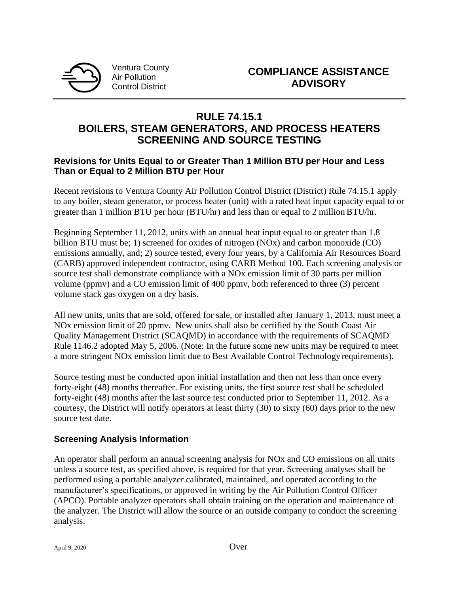

Ventura County Air Pollution Control District

## **RULE 74.15.1 BOILERS, STEAM GENERATORS, AND PROCESS HEATERS SCREENING AND SOURCE TESTING**

### **Revisions for Units Equal to or Greater Than 1 Million BTU per Hour and Less Than or Equal to 2 Million BTU per Hour**

Recent revisions to Ventura County Air Pollution Control District (District) Rule 74.15.1 apply to any boiler, steam generator, or process heater (unit) with a rated heat input capacity equal to or greater than 1 million BTU per hour (BTU/hr) and less than or equal to 2 million BTU/hr.

Beginning September 11, 2012, units with an annual heat input equal to or greater than 1.8 billion BTU must be; 1) screened for oxides of nitrogen (NOx) and carbon monoxide (CO) emissions annually, and; 2) source tested, every four years, by a California Air Resources Board (CARB) approved independent contractor, using CARB Method 100. Each screening analysis or source test shall demonstrate compliance with a NOx emission limit of 30 parts per million volume (ppmv) and a CO emission limit of 400 ppmv, both referenced to three (3) percent volume stack gas oxygen on a dry basis.

All new units, units that are sold, offered for sale, or installed after January 1, 2013, must meet a NOx emission limit of 20 ppmv. New units shall also be certified by the South Coast Air Quality Management District (SCAQMD) in accordance with the requirements of SCAQMD Rule 1146.2 adopted May 5, 2006. (Note: In the future some new units may be required to meet a more stringent NOx emission limit due to Best Available Control Technology requirements).

Source testing must be conducted upon initial installation and then not less than once every forty-eight (48) months thereafter. For existing units, the first source test shall be scheduled forty-eight (48) months after the last source test conducted prior to September 11, 2012. As a courtesy, the District will notify operators at least thirty (30) to sixty (60) days prior to the new source test date.

## **Screening Analysis Information**

An operator shall perform an annual screening analysis for NOx and CO emissions on all units unless a source test, as specified above, is required for that year. Screening analyses shall be performed using a portable analyzer calibrated, maintained, and operated according to the manufacturer's specifications, or approved in writing by the Air Pollution Control Officer (APCO). Portable analyzer operators shall obtain training on the operation and maintenance of the analyzer. The District will allow the source or an outside company to conduct the screening analysis.